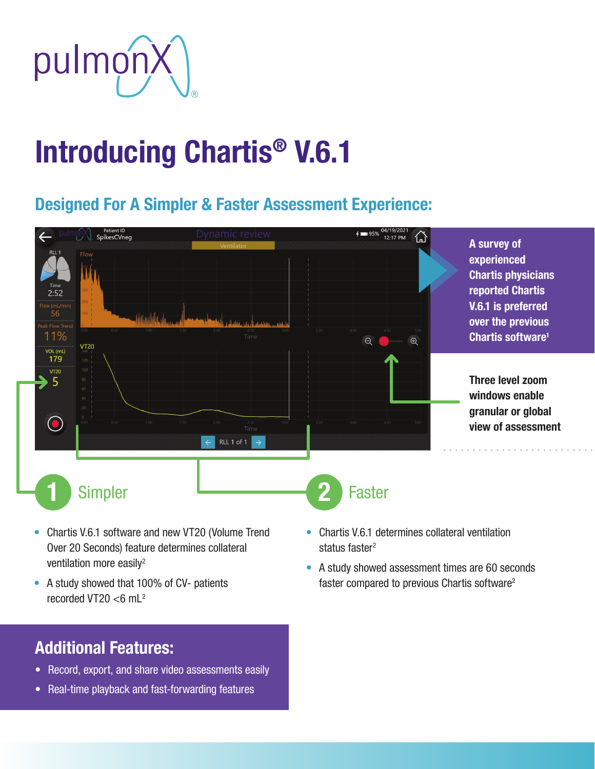

# Introducing Chartis® V.6.1

## Designed For A Simpler & Faster Assessment Experience:



- Chartis V.6.1 software and new VT20 (Volume Trend Over 20 Seconds) feature determines collateral ventilation more easily<sup>2</sup>
- A study showed that 100% of CV- patients recorded VT20  $<$ 6 mL<sup>2</sup>

- Chartis V.6.1 determines collateral ventilation status faster<sup>2</sup>
- A study showed assessment times are 60 seconds faster compared to previous Chartis software<sup>2</sup>

### Additional Features:

- Record, export, and share video assessments easily
- Real-time playback and fast-forwarding features